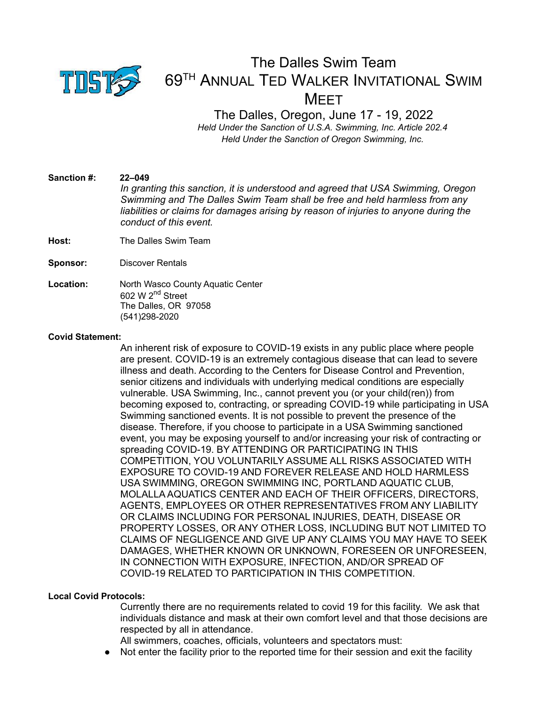

# The Dalles Swim Team 69TH ANNUAL TED WALKER INVITATIONAL SWIM **MEET**

The Dalles, Oregon, June 17 - 19, 2022 *Held Under the Sanction of U.S.A. Swimming, Inc. Article 202.4 Held Under the Sanction of Oregon Swimming, Inc.*

**Sanction #: 22–049** *In granting this sanction, it is understood and agreed that USA Swimming, Oregon Swimming and The Dalles Swim Team shall be free and held harmless from any liabilities or claims for damages arising by reason of injuries to anyone during the conduct of this event.* **Host:** The Dalles Swim Team

**Sponsor:** Discover Rentals

**Location:** North Wasco County Aquatic Center 602 W 2<sup>nd</sup> Street The Dalles, OR 97058 (541)298-2020

### **Covid Statement:**

An inherent risk of exposure to COVID-19 exists in any public place where people are present. COVID-19 is an extremely contagious disease that can lead to severe illness and death. According to the Centers for Disease Control and Prevention, senior citizens and individuals with underlying medical conditions are especially vulnerable. USA Swimming, Inc., cannot prevent you (or your child(ren)) from becoming exposed to, contracting, or spreading COVID-19 while participating in USA Swimming sanctioned events. It is not possible to prevent the presence of the disease. Therefore, if you choose to participate in a USA Swimming sanctioned event, you may be exposing yourself to and/or increasing your risk of contracting or spreading COVID-19. BY ATTENDING OR PARTICIPATING IN THIS COMPETITION, YOU VOLUNTARILY ASSUME ALL RISKS ASSOCIATED WITH EXPOSURE TO COVID-19 AND FOREVER RELEASE AND HOLD HARMLESS USA SWIMMING, OREGON SWIMMING INC, PORTLAND AQUATIC CLUB, MOLALLA AQUATICS CENTER AND EACH OF THEIR OFFICERS, DIRECTORS, AGENTS, EMPLOYEES OR OTHER REPRESENTATIVES FROM ANY LIABILITY OR CLAIMS INCLUDING FOR PERSONAL INJURIES, DEATH, DISEASE OR PROPERTY LOSSES, OR ANY OTHER LOSS, INCLUDING BUT NOT LIMITED TO CLAIMS OF NEGLIGENCE AND GIVE UP ANY CLAIMS YOU MAY HAVE TO SEEK DAMAGES, WHETHER KNOWN OR UNKNOWN, FORESEEN OR UNFORESEEN, IN CONNECTION WITH EXPOSURE, INFECTION, AND/OR SPREAD OF COVID-19 RELATED TO PARTICIPATION IN THIS COMPETITION.

### **Local Covid Protocols:**

Currently there are no requirements related to covid 19 for this facility. We ask that individuals distance and mask at their own comfort level and that those decisions are respected by all in attendance.

All swimmers, coaches, officials, volunteers and spectators must:

● Not enter the facility prior to the reported time for their session and exit the facility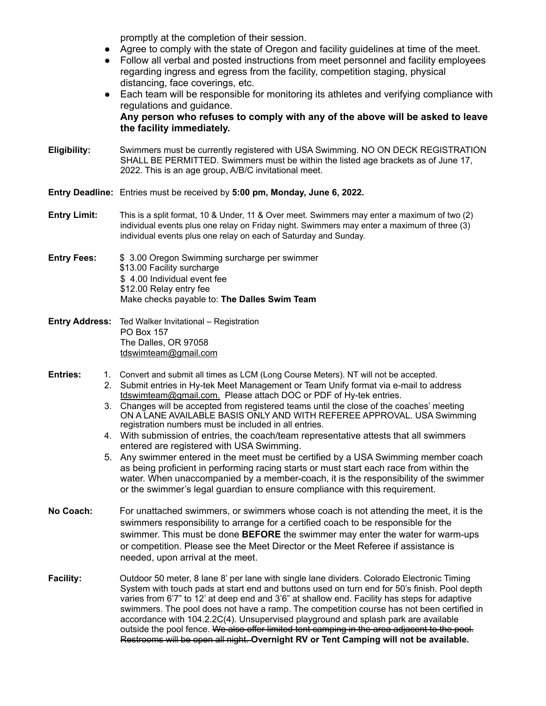promptly at the completion of their session.

- Agree to comply with the state of Oregon and facility guidelines at time of the meet.
- Follow all verbal and posted instructions from meet personnel and facility employees regarding ingress and egress from the facility, competition staging, physical distancing, face coverings, etc.
- Each team will be responsible for monitoring its athletes and verifying compliance with regulations and guidance. **Any person who refuses to comply with any of the above will be asked to leave the facility immediately.**
- **Eligibility:** Swimmers must be currently registered with USA Swimming. NO ON DECK REGISTRATION SHALL BE PERMITTED. Swimmers must be within the listed age brackets as of June 17, 2022. This is an age group, A/B/C invitational meet.
- **Entry Deadline:** Entries must be received by **5:00 pm, Monday, June 6, 2022.**
- **Entry Limit:** This is a split format, 10 & Under, 11 & Over meet. Swimmers may enter a maximum of two (2) individual events plus one relay on Friday night. Swimmers may enter a maximum of three (3) individual events plus one relay on each of Saturday and Sunday.
- **Entry Fees:** \$ 3.00 Oregon Swimming surcharge per swimmer \$13.00 Facility surcharge \$ 4.00 Individual event fee \$12.00 Relay entry fee Make checks payable to: **The Dalles Swim Team**
- **Entry Address:** Ted Walker Invitational Registration PO Box 157 The Dalles, OR 97058 [tdswimteam@gmail.com](mailto:waddington@gorge.net)
- **Entries:** 1. Convert and submit all times as LCM (Long Course Meters). NT will not be accepted.
	- 2. Submit entries in Hy-tek Meet Management or Team Unify format via e-mail to address [tdswimteam@gmail.com](mailto:tdswimteam@gmail.com). Please attach DOC or PDF of Hy-tek entries.
	- 3. Changes will be accepted from registered teams until the close of the coaches' meeting ON A LANE AVAILABLE BASIS ONLY AND WITH REFEREE APPROVAL. USA Swimming registration numbers must be included in all entries.
	- 4. With submission of entries, the coach/team representative attests that all swimmers entered are registered with USA Swimming.
	- 5. Any swimmer entered in the meet must be certified by a USA Swimming member coach as being proficient in performing racing starts or must start each race from within the water. When unaccompanied by a member-coach, it is the responsibility of the swimmer or the swimmer's legal guardian to ensure compliance with this requirement.
- **No Coach:** For unattached swimmers, or swimmers whose coach is not attending the meet, it is the swimmers responsibility to arrange for a certified coach to be responsible for the swimmer. This must be done **BEFORE** the swimmer may enter the water for warm-ups or competition. Please see the Meet Director or the Meet Referee if assistance is needed, upon arrival at the meet.
- **Facility:** Outdoor 50 meter, 8 lane 8' per lane with single lane dividers. Colorado Electronic Timing System with touch pads at start end and buttons used on turn end for 50's finish. Pool depth varies from 6'7" to 12' at deep end and 3'6" at shallow end. Facility has steps for adaptive swimmers. The pool does not have a ramp. The competition course has not been certified in accordance with 104.2.2C(4). Unsupervised playground and splash park are available outside the pool fence. We also offer limited tent camping in the area adjacent to the pool. Restrooms will be open all night. **Overnight RV or Tent Camping will not be available.**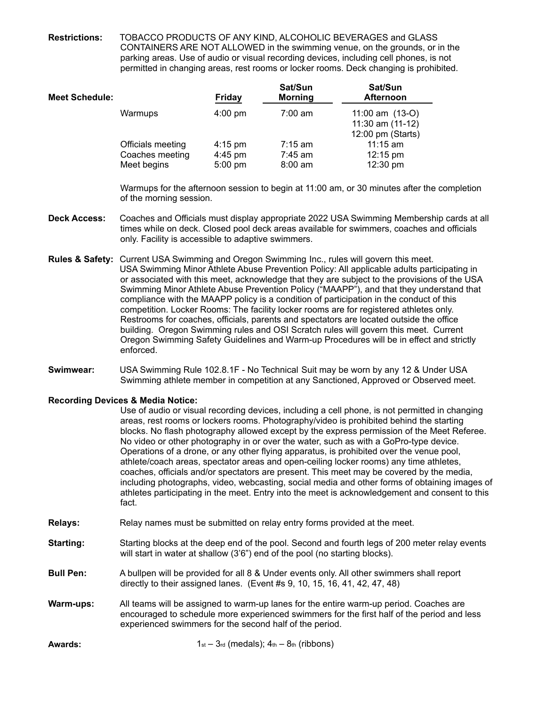**Restrictions:** TOBACCO PRODUCTS OF ANY KIND, ALCOHOLIC BEVERAGES and GLASS CONTAINERS ARE NOT ALLOWED in the swimming venue, on the grounds, or in the parking areas. Use of audio or visual recording devices, including cell phones, is not permitted in changing areas, rest rooms or locker rooms. Deck changing is prohibited.

| <b>Meet Schedule:</b> |                                                     | <b>Friday</b>                                               | Sat/Sun<br><b>Morning</b>                           | Sat/Sun<br><b>Afternoon</b>                                  |
|-----------------------|-----------------------------------------------------|-------------------------------------------------------------|-----------------------------------------------------|--------------------------------------------------------------|
|                       | Warmups                                             | $4:00 \text{ pm}$                                           | $7:00 \text{ am}$                                   | 11:00 am $(13-0)$<br>11:30 am $(11-12)$<br>12:00 pm (Starts) |
|                       | Officials meeting<br>Coaches meeting<br>Meet begins | $4:15 \text{ pm}$<br>$4:45 \text{ pm}$<br>$5:00 \text{ pm}$ | $7:15 \text{ am}$<br>$7:45$ am<br>$8:00 \text{ am}$ | $11:15$ am<br>$12:15 \text{ pm}$<br>12:30 pm                 |

Warmups for the afternoon session to begin at 11:00 am, or 30 minutes after the completion of the morning session.

- **Deck Access:** Coaches and Officials must display appropriate 2022 USA Swimming Membership cards at all times while on deck. Closed pool deck areas available for swimmers, coaches and officials only. Facility is accessible to adaptive swimmers.
- **Rules & Safety:** Current USA Swimming and Oregon Swimming Inc., rules will govern this meet. USA Swimming Minor Athlete Abuse Prevention Policy: All applicable adults participating in or associated with this meet, acknowledge that they are subject to the provisions of the USA Swimming Minor Athlete Abuse Prevention Policy ("MAAPP"), and that they understand that compliance with the MAAPP policy is a condition of participation in the conduct of this competition. Locker Rooms: The facility locker rooms are for registered athletes only. Restrooms for coaches, officials, parents and spectators are located outside the office building. Oregon Swimming rules and OSI Scratch rules will govern this meet. Current Oregon Swimming Safety Guidelines and Warm-up Procedures will be in effect and strictly enforced.
- **Swimwear:** USA Swimming Rule 102.8.1F No Technical Suit may be worn by any 12 & Under USA Swimming athlete member in competition at any Sanctioned, Approved or Observed meet.

#### **Recording Devices & Media Notice:**

|                  | Use of audio or visual recording devices, including a cell phone, is not permitted in changing<br>areas, rest rooms or lockers rooms. Photography/video is prohibited behind the starting<br>blocks. No flash photography allowed except by the express permission of the Meet Referee.<br>No video or other photography in or over the water, such as with a GoPro-type device.<br>Operations of a drone, or any other flying apparatus, is prohibited over the venue pool,<br>athlete/coach areas, spectator areas and open-ceiling locker rooms) any time athletes,<br>coaches, officials and/or spectators are present. This meet may be covered by the media,<br>including photographs, video, webcasting, social media and other forms of obtaining images of<br>athletes participating in the meet. Entry into the meet is acknowledgement and consent to this<br>fact. |
|------------------|--------------------------------------------------------------------------------------------------------------------------------------------------------------------------------------------------------------------------------------------------------------------------------------------------------------------------------------------------------------------------------------------------------------------------------------------------------------------------------------------------------------------------------------------------------------------------------------------------------------------------------------------------------------------------------------------------------------------------------------------------------------------------------------------------------------------------------------------------------------------------------|
| Relays:          | Relay names must be submitted on relay entry forms provided at the meet.                                                                                                                                                                                                                                                                                                                                                                                                                                                                                                                                                                                                                                                                                                                                                                                                       |
| Starting:        | Starting blocks at the deep end of the pool. Second and fourth legs of 200 meter relay events<br>will start in water at shallow (3'6") end of the pool (no starting blocks).                                                                                                                                                                                                                                                                                                                                                                                                                                                                                                                                                                                                                                                                                                   |
| <b>Bull Pen:</b> | A bullpen will be provided for all 8 & Under events only. All other swimmers shall report<br>directly to their assigned lanes. (Event #s 9, 10, 15, 16, 41, 42, 47, 48)                                                                                                                                                                                                                                                                                                                                                                                                                                                                                                                                                                                                                                                                                                        |
| Warm-ups:        | All teams will be assigned to warm-up lanes for the entire warm-up period. Coaches are<br>encouraged to schedule more experienced swimmers for the first half of the period and less<br>experienced swimmers for the second half of the period.                                                                                                                                                                                                                                                                                                                                                                                                                                                                                                                                                                                                                                |
| Awards:          | $1st - 3rd$ (medals); $4th - 8th$ (ribbons)                                                                                                                                                                                                                                                                                                                                                                                                                                                                                                                                                                                                                                                                                                                                                                                                                                    |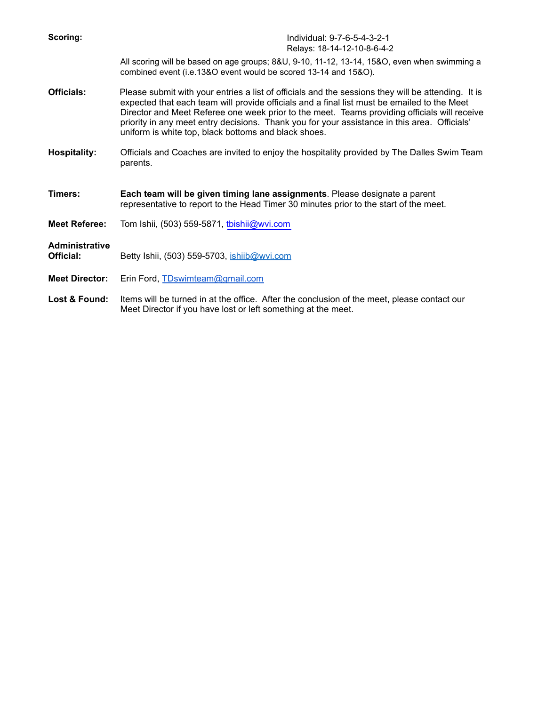| Scoring:                           | Individual: 9-7-6-5-4-3-2-1<br>Relays: 18-14-12-10-8-6-4-2                                                                                                                                                                                                                                                                                                                                                                                                |
|------------------------------------|-----------------------------------------------------------------------------------------------------------------------------------------------------------------------------------------------------------------------------------------------------------------------------------------------------------------------------------------------------------------------------------------------------------------------------------------------------------|
|                                    | All scoring will be based on age groups; 8&U, 9-10, 11-12, 13-14, 15&O, even when swimming a<br>combined event (i.e.13&O event would be scored 13-14 and 15&O).                                                                                                                                                                                                                                                                                           |
| Officials:                         | Please submit with your entries a list of officials and the sessions they will be attending. It is<br>expected that each team will provide officials and a final list must be emailed to the Meet<br>Director and Meet Referee one week prior to the meet. Teams providing officials will receive<br>priority in any meet entry decisions. Thank you for your assistance in this area. Officials'<br>uniform is white top, black bottoms and black shoes. |
| <b>Hospitality:</b>                | Officials and Coaches are invited to enjoy the hospitality provided by The Dalles Swim Team<br>parents.                                                                                                                                                                                                                                                                                                                                                   |
| Timers:                            | Each team will be given timing lane assignments. Please designate a parent<br>representative to report to the Head Timer 30 minutes prior to the start of the meet.                                                                                                                                                                                                                                                                                       |
| <b>Meet Referee:</b>               | Tom Ishii, (503) 559-5871, tbishii@wvi.com                                                                                                                                                                                                                                                                                                                                                                                                                |
| <b>Administrative</b><br>Official: | Betty Ishii, (503) 559-5703, <i>ishiib@wvi.com</i>                                                                                                                                                                                                                                                                                                                                                                                                        |
| <b>Meet Director:</b>              | Erin Ford, TDswimteam@gmail.com                                                                                                                                                                                                                                                                                                                                                                                                                           |
| Lost & Found:                      | Items will be turned in at the office. After the conclusion of the meet, please contact our<br>Meet Director if you have lost or left something at the meet.                                                                                                                                                                                                                                                                                              |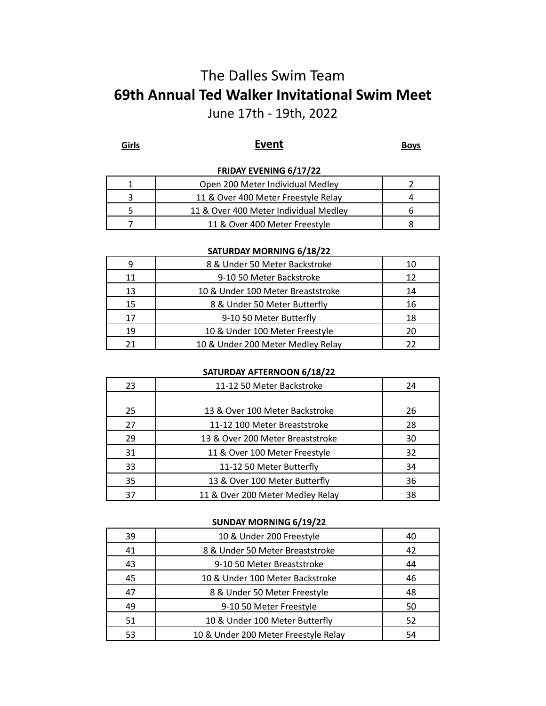# The Dalles Swim Team **69th Annual Ted Walker Invitational Swim Meet** June 17th - 19th, 2022

## **Girls Event Boys**

| <b>FRIDAY EVENING 6/17/22</b> |                                       |  |  |
|-------------------------------|---------------------------------------|--|--|
|                               | Open 200 Meter Individual Medley      |  |  |
|                               | 11 & Over 400 Meter Freestyle Relay   |  |  |
|                               | 11 & Over 400 Meter Individual Medley |  |  |
|                               | 11 & Over 400 Meter Freestyle         |  |  |

### **SATURDAY MORNING 6/18/22**

|    | 8 & Under 50 Meter Backstroke     | 10 |
|----|-----------------------------------|----|
| 11 | 9-10 50 Meter Backstroke          | 12 |
| 13 | 10 & Under 100 Meter Breaststroke | 14 |
| 15 | 8 & Under 50 Meter Butterfly      | 16 |
| 17 | 9-10 50 Meter Butterfly           | 18 |
| 19 | 10 & Under 100 Meter Freestyle    | 20 |
| 21 | 10 & Under 200 Meter Medley Relay | フフ |

### **SATURDAY AFTERNOON 6/18/22**

| 23 | 11-12 50 Meter Backstroke        | 24 |
|----|----------------------------------|----|
|    |                                  |    |
| 25 | 13 & Over 100 Meter Backstroke   | 26 |
| 27 | 11-12 100 Meter Breaststroke     | 28 |
| 29 | 13 & Over 200 Meter Breaststroke | 30 |
| 31 | 11 & Over 100 Meter Freestyle    | 32 |
| 33 | 11-12 50 Meter Butterfly         | 34 |
| 35 | 13 & Over 100 Meter Butterfly    | 36 |
| 37 | 11 & Over 200 Meter Medley Relay | 38 |

### **SUNDAY MORNING 6/19/22**

| 39 | 10 & Under 200 Freestyle             | 40 |
|----|--------------------------------------|----|
| 41 | 8 & Under 50 Meter Breaststroke      | 42 |
| 43 | 9-10 50 Meter Breaststroke           | 44 |
| 45 | 10 & Under 100 Meter Backstroke      | 46 |
| 47 | 8 & Under 50 Meter Freestyle         | 48 |
| 49 | 9-10 50 Meter Freestyle              | 50 |
| 51 | 10 & Under 100 Meter Butterfly       | 52 |
| 53 | 10 & Under 200 Meter Freestyle Relay | 54 |